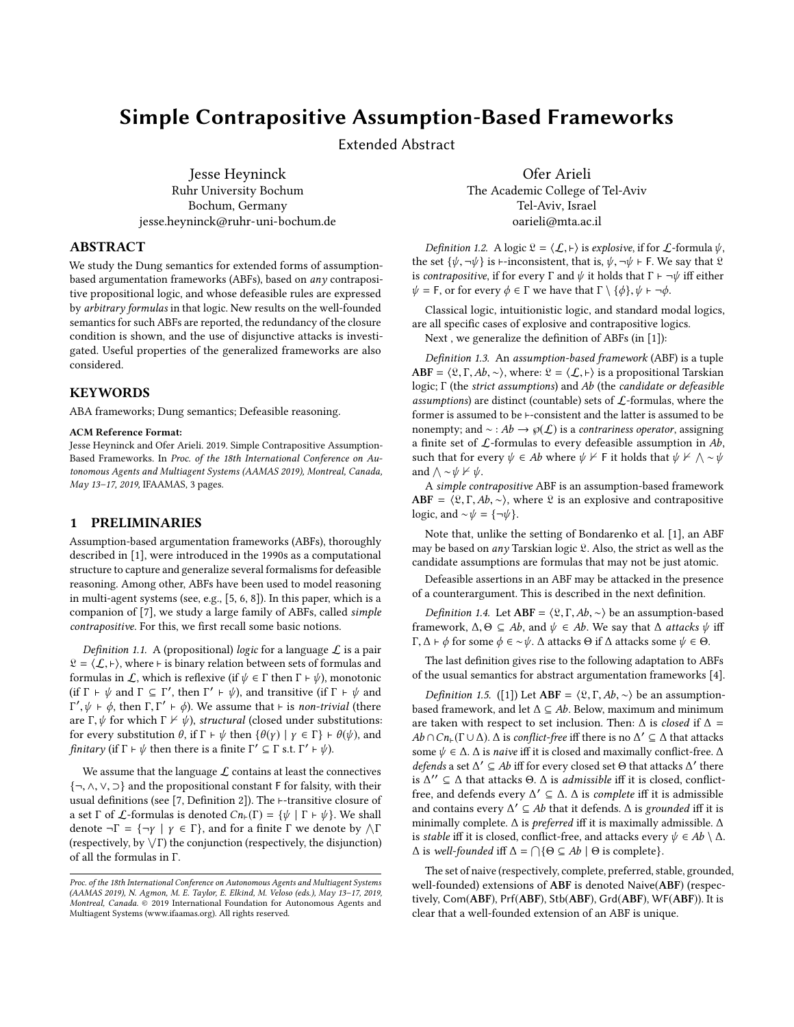# Simple Contrapositive Assumption-Based Frameworks

Extended Abstract

Jesse Heyninck Ruhr University Bochum Bochum, Germany jesse.heyninck@ruhr-uni-bochum.de

### ABSTRACT

We study the Dung semantics for extended forms of assumptionbased argumentation frameworks (ABFs), based on any contrapositive propositional logic, and whose defeasible rules are expressed by arbitrary formulas in that logic. New results on the well-founded semantics for such ABFs are reported, the redundancy of the closure condition is shown, and the use of disjunctive attacks is investigated. Useful properties of the generalized frameworks are also considered.

## **KEYWORDS**

ABA frameworks; Dung semantics; Defeasible reasoning.

#### ACM Reference Format:

Jesse Heyninck and Ofer Arieli. 2019. Simple Contrapositive Assumption-Based Frameworks. In Proc. of the 18th International Conference on Autonomous Agents and Multiagent Systems (AAMAS 2019), Montreal, Canada, May 13–17, 2019, IFAAMAS, [3](#page-2-0) pages.

#### 1 PRELIMINARIES

Assumption-based argumentation frameworks (ABFs), thoroughly described in [\[1\]](#page-2-1), were introduced in the 1990s as a computational structure to capture and generalize several formalisms for defeasible reasoning. Among other, ABFs have been used to model reasoning in multi-agent systems (see, e.g., [\[5,](#page-2-2) [6,](#page-2-3) [8\]](#page-2-4)). In this paper, which is a companion of [\[7\]](#page-2-5), we study a large family of ABFs, called simple contrapositive. For this, we first recall some basic notions.

Definition 1.1. A (propositional) logic for a language  $\mathcal L$  is a pair  $\mathcal{L} = \langle \mathcal{L}, \vdash \rangle$ , where  $\vdash$  is binary relation between sets of formulas and formulas in  $\mathcal{L}$ , which is reflexive (if  $\psi \in \Gamma$  then  $\Gamma \vdash \psi$ ), monotonic (if  $\Gamma \vdash \psi$  and  $\Gamma \subseteq \Gamma'$ , then  $\Gamma' \vdash \psi$ ), and transitive (if  $\Gamma \vdash \psi$  and  $\Gamma' \vdash \phi$  then  $\Gamma \Gamma' \vdash \phi$ ). We assume that  $\vdash$  is non-trivial (there are Γ,  $\psi$  for which Γ  $\nvdash \psi$ ), structural (closed under substitutions:<br>for every substitution  $\theta$  if  $\Gamma \vdash \psi$  then  $f(\psi) \rightharpoonup \psi \in \Gamma$   $\vdash \theta(\psi)$  and  $\langle \psi | \psi + \phi \rangle$ , then  $\Gamma, \Gamma' + \phi$ ). We assume that ⊢ is *non-trivial* (there  $\Gamma$  is the which  $\Gamma \nvDash \psi$ ), *structural* (closed under substitutions) for every substitution  $\theta$ , if  $\Gamma \vdash \psi$  then  $\{\theta(\gamma) \mid \gamma \in \Gamma\} \vdash \theta(\psi)$ , and finitary (if  $\Gamma \vdash \psi$  then there is a finite  $\Gamma' \subseteq \Gamma$  s.t.  $\Gamma' \vdash \psi$ ).

We assume that the language  $\mathcal L$  contains at least the connectives {¬, <sup>∧</sup>, <sup>∨</sup>, ⊃} and the propositional constant <sup>F</sup> for falsity, with their usual definitions (see [\[7,](#page-2-5) Definition 2]). The ⊢-transitive closure of a set  $\Gamma$  of  $\mathcal L$ -formulas is denoted  $Cn_{\vdash}(\Gamma) = \{\psi \mid \Gamma \vdash \psi\}$ . We shall denote  $\neg \Gamma = {\neg \gamma \mid \gamma \in \Gamma}$ , and for a finite  $\Gamma$  we denote by  $\wedge \Gamma$  $T$  (respectively, by  $\sqrt{\Gamma}$ ) the conjunction (respectively, the disjunction)<br>of all the formulas in  $\Gamma$ of all the formulas in Γ.

Ofer Arieli The Academic College of Tel-Aviv Tel-Aviv, Israel oarieli@mta.ac.il

Definition 1.2. A logic  $\mathfrak{L} = \langle \mathcal{L}, \vdash \rangle$  is explosive, if for  $\mathcal{L}$ -formula  $\psi$ , the set  $\{\psi, \neg \psi\}$  is ⊢-inconsistent, that is,  $\psi, \neg \psi \vdash F$ . We say that  $\Omega$ is contrapositive, if for every  $\Gamma$  and  $\psi$  it holds that  $\Gamma \vdash \neg \psi$  iff either  $\psi = F$ , or for every  $\phi \in \Gamma$  we have that  $\Gamma \setminus \{\phi\}, \psi \vdash \neg \phi$ .

Classical logic, intuitionistic logic, and standard modal logics, are all specific cases of explosive and contrapositive logics.

Next , we generalize the definition of ABFs (in [\[1\]](#page-2-1)):

Definition 1.3. An assumption-based framework (ABF) is a tuple ABF =  $\langle \mathfrak{L}, \Gamma, Ab, \sim \rangle$ , where:  $\mathfrak{L} = \langle \mathcal{L}, \vdash \rangle$  is a propositional Tarskian logic; Γ (the strict assumptions) and Ab (the candidate or defeasible assumptions) are distinct (countable) sets of  $\mathcal{L}$ -formulas, where the former is assumed to be ⊢-consistent and the latter is assumed to be nonempty; and  $\sim$  : Ab  $\rightarrow \varphi(\mathcal{L})$  is a contrariness operator, assigning a finite set of  $\mathcal L$ -formulas to every defeasible assumption in  $Ab$ , such that for every  $\psi \in Ab$  where  $\psi \nvdash$  F it holds that  $\psi \nvdash \wedge \neg \psi$ and  $\wedge \neg \psi \nvdash \psi$ .

A simple contrapositive ABF is an assumption-based framework ABF =  $\langle \mathfrak{L}, \Gamma, Ab, \sim \rangle$ , where  $\mathfrak{L}$  is an explosive and contrapositive logic, and  $\sim \psi = {\neg \psi}$ .

Note that, unlike the setting of [Bondarenko et al.](#page-2-1) [\[1\]](#page-2-1), an ABF may be based on any Tarskian logic  $\mathfrak{L}$ . Also, the strict as well as the candidate assumptions are formulas that may not be just atomic.

Defeasible assertions in an ABF may be attacked in the presence of a counterargument. This is described in the next definition.

<span id="page-0-1"></span>Definition 1.4. Let ABF =  $\langle \mathfrak{L}, \Gamma, Ab, \sim \rangle$  be an assumption-based framework,  $\Delta, \Theta \subseteq Ab$ , and  $\psi \in Ab$ . We say that  $\Delta$  attacks  $\psi$  iff Γ, ∆ <sup>⊢</sup> <sup>ϕ</sup> for some <sup>ϕ</sup> ∈ ∼ψ. ∆ attacks Θ if ∆ attacks some <sup>ψ</sup> <sup>∈</sup> Θ.

The last definition gives rise to the following adaptation to ABFs of the usual semantics for abstract argumentation frameworks [\[4\]](#page-2-6).

<span id="page-0-0"></span>Definition 1.5. ([\[1\]](#page-2-1)) Let ABF =  $\langle \mathfrak{L}, \Gamma, Ab, \sim \rangle$  be an assumptionbased framework, and let  $\Delta \subseteq Ab$ . Below, maximum and minimum are taken with respect to set inclusion. Then:  $\Delta$  is *closed* if  $\Delta$  =  $Ab \cap Cn_{\vdash}(\Gamma \cup \Delta)$ .  $\Delta$  is conflict-free iff there is no  $\Delta' \subseteq \Delta$  that attacks some  $\psi \in \Delta$ . A is naive iff it is closed and maximally conflict-free  $\Delta$ . some  $\psi \in \Delta$ .  $\Delta$  is *naive* iff it is closed and maximally conflict-free.  $\Delta$ *defends* a set Δ' ⊆ *Ab* iff for every closed set Θ that attacks Δ' there is Δ'' ⊂ Λ that attacks Θ Λ is admissible iff it is closed, conflictis  $\Delta'' \subseteq \Delta$  that attacks  $\Theta$ .  $\Delta$  is *admissible* iff it is closed, conflict-<br>free and defends every  $\Delta' \subseteq \Delta$   $\Delta$  is complete iff it is admissible free, and defends every  $\Delta' \subseteq \Delta$ .  $\Delta$  is *complete* iff it is admissible<br>and contains every  $\Delta' \subseteq A$  that it defends.  $\Delta$  is *grounded* iff it is and contains every  $\Delta' \subseteq Ab$  that it defends.  $\Delta$  is *grounded* iff it is maximally admissible.  $\Delta$  is *preferred* iff it is maximally admissible.  $\Delta$ minimally complete.  $\Delta$  is *preferred* iff it is maximally admissible.  $\Delta$ is *stable* iff it is closed, conflict-free, and attacks every  $\psi \in Ab \setminus \Delta$ .  $\Delta$  is well-founded iff  $\Delta = \bigcap \{ \Theta \subseteq Ab \mid \Theta \text{ is complete} \}.$ 

The set of naive (respectively, complete, preferred, stable, grounded, well-founded) extensions of ABF is denoted Naive(ABF) (respectively, Com(ABF), Prf(ABF), Stb(ABF), Grd(ABF), WF(ABF)). It is clear that a well-founded extension of an ABF is unique.

Proc. of the 18th International Conference on Autonomous Agents and Multiagent Systems (AAMAS 2019), N. Agmon, M. E. Taylor, E. Elkind, M. Veloso (eds.), May 13–17, 2019, Montreal, Canada. © 2019 International Foundation for Autonomous Agents and Multiagent Systems (www.ifaamas.org). All rights reserved.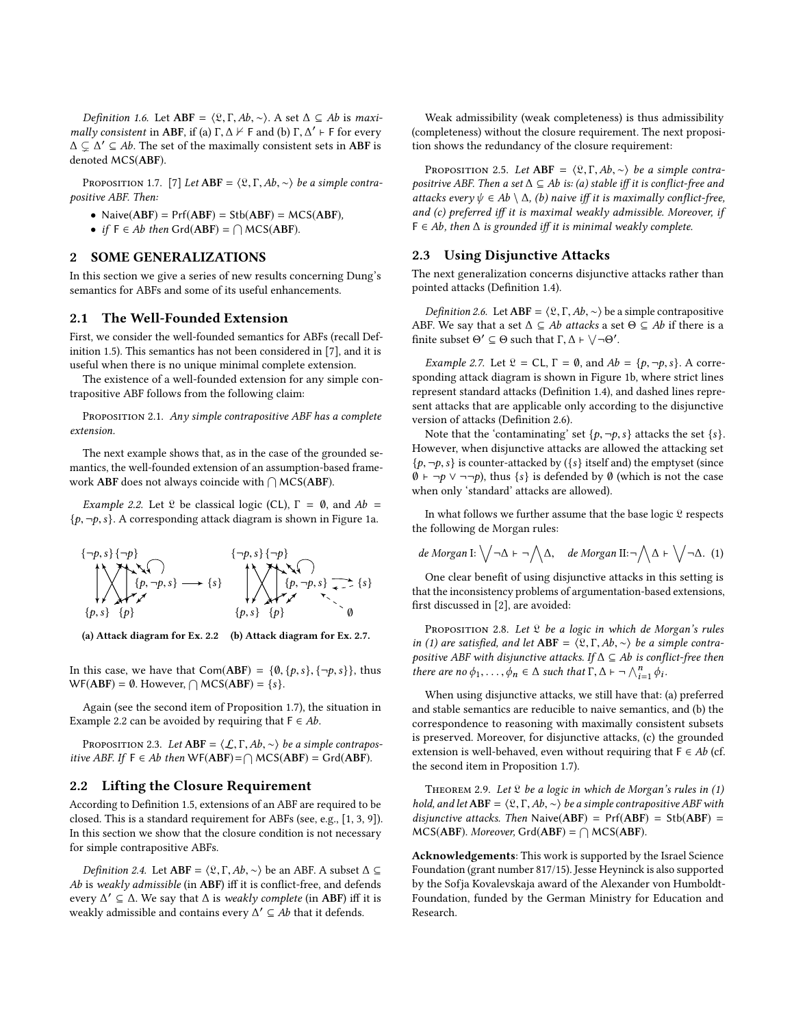Definition 1.6. Let ABF =  $\langle \mathfrak{L}, \Gamma, Ab, \sim \rangle$ . A set  $\Delta \subseteq Ab$  is maximally consistent in ABF, if (a)  $\Gamma, \Delta \nvdash F$  and (b)  $\Gamma, \Delta' \vdash F$  for every  $\Delta \subset \Delta' \subset \Delta h$ . The set of the maximally consistent sets in ABF is  $\Delta \subsetneq \Delta' \subseteq Ab$ . The set of the maximally consistent sets in **ABF** is denoted MCS(ABF) denoted MCS(ABF).

<span id="page-1-3"></span>PROPOSITION 1.7. [\[7\]](#page-2-5) Let  $ABF = \langle \mathfrak{L}, \Gamma, Ab, \sim \rangle$  be a simple contrapositive ABF. Then:

- Naive $(ABF)$  = Prf $(ABF)$  = Stb $(ABF)$  = MCS $(ABF)$ ,
- if  $F \in Ab$  then  $Grd(ABF) = \bigcap MCS(ABF)$ .

# 2 SOME GENERALIZATIONS

In this section we give a series of new results concerning Dung's semantics for ABFs and some of its useful enhancements.

## 2.1 The Well-Founded Extension

First, we consider the well-founded semantics for ABFs (recall Definition [1.5\)](#page-0-0). This semantics has not been considered in [\[7\]](#page-2-5), and it is useful when there is no unique minimal complete extension.

The existence of a well-founded extension for any simple contrapositive ABF follows from the following claim:

PROPOSITION 2.1. Any simple contrapositive ABF has a complete extension.

The next example shows that, as in the case of the grounded semantics, the well-founded extension of an assumption-based framework ABF does not always coincide with  $\bigcap {\sf MCS}({\sf ABF}).$ 

<span id="page-1-1"></span>Example 2.2. Let  $\Omega$  be classical logic (CL),  $\Gamma = \emptyset$ , and  $Ab =$  $\{p, \neg p, s\}$ . A corresponding attack diagram is shown in Figure [1a.](#page-1-0)

<span id="page-1-0"></span>
$$
\{\neg p, s\} \{\neg p\} \qquad \{\neg p, s\} \{\neg p\} \qquad \{\neg p, s\} \qquad \{\neg p\} \qquad \{\neg p, s\} \qquad \{\neg p\} \qquad \{\neg p, s\} \qquad \{\neg p, s\} \qquad \{\neg p, s\} \qquad \{\neg p, s\} \qquad \{\neg p, s\} \qquad \{\neg p, s\} \qquad \{\neg p, s\} \qquad \{\neg p, s\} \qquad \{\neg p, s\} \qquad \{\neg p, s\} \qquad \{\neg p, s\} \qquad \{\neg p, s\} \qquad \{\neg p, s\} \qquad \{\neg p, s\} \qquad \{\neg p, s\} \qquad \{\neg p, s\} \qquad \{\neg p, s\} \qquad \{\neg p, s\} \qquad \{\neg p, s\} \qquad \{\neg p, s\} \qquad \{\neg p, s\} \qquad \{\neg p, s\} \qquad \{\neg p, s\} \qquad \{\neg p, s\} \qquad \{\neg p, s\} \qquad \{\neg p, s\} \qquad \{\neg p, s\} \qquad \{\neg p, s\} \qquad \{\neg p, s\} \qquad \{\neg p, s\} \qquad \{\neg p, s\} \qquad \{\neg p, s\} \qquad \{\neg p, s\} \qquad \{\neg p, s\} \qquad \{\neg p, s\} \qquad \{\neg p, s\} \qquad \{\neg p, s\} \qquad \{\neg p, s\} \qquad \{\neg p, s\} \qquad \{\neg p, s\} \qquad \{\neg p, s\} \qquad \{\neg p, s\} \qquad \{\neg p, s\} \qquad \{\neg p, s\} \qquad \{\neg p, s\} \qquad \{\neg p, s\} \qquad \{\neg p, s\} \qquad \{\neg p, s\} \qquad \{\neg p, s\} \qquad \{\neg p, s\} \qquad \{\neg p, s\} \qquad \{\neg p, s\} \qquad \{\neg p, s\} \qquad \{\neg p, s\} \qquad \{\neg p, s\} \qquad \{\neg p, s\} \qquad \{\neg p, s\} \qquad \{\neg p, s\} \qquad \{\neg p, s\} \qquad \{\neg p, s\} \qquad \{\neg p, s\} \qquad \{\neg p, s\} \qquad \{\neg p
$$

(a) Attack diagram for Ex. [2.2](#page-1-1) (b) Attack diagram for Ex. [2.7.](#page-1-2)

In this case, we have that  $Com(ABF) = \{ \emptyset, \{p, s\}, \{\neg p, s\} \}$ , thus  $WF(ABF) = \emptyset$ . However,  $\bigcap MCS(ABF) = \{s\}.$ 

Again (see the second item of Proposition [1.7\)](#page-1-3), the situation in Example [2.2](#page-1-1) can be avoided by requiring that  $F \in Ab$ .

PROPOSITION 2.3. Let  $ABF = \langle \mathcal{L}, \Gamma, Ab, \sim \rangle$  be a simple contrapositive ABF. If  $F \in Ab$  then WF(ABF) =  $\bigcap$  MCS(ABF) = Grd(ABF).

#### 2.2 Lifting the Closure Requirement

According to Definition [1.5,](#page-0-0) extensions of an ABF are required to be closed. This is a standard requirement for ABFs (see, e.g., [\[1,](#page-2-1) [3,](#page-2-7) [9\]](#page-2-8)). In this section we show that the closure condition is not necessary for simple contrapositive ABFs.

*Definition 2.4.* Let ABF =  $\langle \mathfrak{L}, \Gamma, Ab, \sim \rangle$  be an ABF. A subset  $\Delta \subseteq$ Ab is weakly admissible (in ABF) iff it is conflict-free, and defends every  $\Delta' \subseteq \Delta$ . We say that  $\Delta$  is *weakly complete* (in **ABF**) iff it is weakly admissible and contains every  $\Delta' \subseteq A$  that it defends weakly admissible and contains every  $\Delta' \subseteq Ab$  that it defends.

Weak admissibility (weak completeness) is thus admissibility (completeness) without the closure requirement. The next proposition shows the redundancy of the closure requirement:

PROPOSITION 2.5. Let ABF =  $\langle \mathfrak{L}, \Gamma, Ab, \sim \rangle$  be a simple contrapositrive ABF. Then a set  $\Delta \subseteq Ab$  is: (a) stable iff it is conflict-free and attacks every  $\psi \in Ab \setminus \Delta$ , (b) naive iff it is maximally conflict-free, and (c) preferred iff it is maximal weakly admissible. Moreover, if  $F \in Ab$ , then  $\Delta$  is grounded iff it is minimal weakly complete.

#### 2.3 Using Disjunctive Attacks

The next generalization concerns disjunctive attacks rather than pointed attacks (Definition [1.4\)](#page-0-1).

<span id="page-1-4"></span>Definition 2.6. Let ABF =  $\langle \mathfrak{L}, \Gamma, Ab, \sim \rangle$  be a simple contrapositive ABF. We say that a set  $\Delta \subseteq Ab$  attacks a set  $\Theta \subseteq Ab$  if there is a finite subset  $\Theta' \subseteq \Theta$  such that  $\Gamma, \Delta \vdash \bigvee \neg \Theta'$ .

<span id="page-1-2"></span>*Example 2.7.* Let  $\mathcal{L} = CL$ ,  $\Gamma = \emptyset$ , and  $Ab = \{p, \neg p, s\}$ . A corresponding attack diagram is shown in Figure [1b,](#page-1-0) where strict lines represent standard attacks (Definition [1.4\)](#page-0-1), and dashed lines represent attacks that are applicable only according to the disjunctive version of attacks (Definition [2.6\)](#page-1-4).

Note that the 'contaminating' set  $\{p, \neg p, s\}$  attacks the set  $\{s\}$ . However, when disjunctive attacks are allowed the attacking set  $\{p, \neg p, s\}$  is counter-attacked by ( $\{s\}$  itself and) the emptyset (since  $\emptyset$  ⊦ ¬p ∨ ¬¬p), thus {s} is defended by  $\emptyset$  (which is not the case when only 'standard' attacks are allowed).

In what follows we further assume that the base logic  $\mathfrak L$  respects the following de Morgan rules:

<span id="page-1-5"></span>
$$
de Morgan I: \bigvee \neg \Delta \vdash \neg \bigwedge \Delta, \quad de Morgan II: \neg \bigwedge \Delta \vdash \bigvee \neg \Delta.
$$
 (1)

One clear benefit of using disjunctive attacks in this setting is that the inconsistency problems of argumentation-based extensions, first discussed in [\[2\]](#page-2-9), are avoided:

PROPOSITION 2.8. Let  $\mathfrak L$  be a logic in which de Morgan's rules in [\(1\)](#page-1-5) are satisfied, and let ABF =  $\langle \mathfrak{L}, \Gamma, Ab, \sim \rangle$  be a simple contrapositive ABF with disjunctive attacks. If  $\Delta \subseteq Ab$  is conflict-free then there are no  $\phi_1, \ldots, \phi_n \in \Delta$  such that  $\Gamma, \Delta \vdash \neg \bigwedge_{i=1}^n \phi_i$ .

When using disjunctive attacks, we still have that: (a) preferred and stable semantics are reducible to naive semantics, and (b) the correspondence to reasoning with maximally consistent subsets is preserved. Moreover, for disjunctive attacks, (c) the grounded extension is well-behaved, even without requiring that  $F \in Ab$  (cf. the second item in Proposition [1.7\)](#page-1-3).

THEOREM 2.9. Let  $\mathfrak L$  be a logic in which de Morgan's rules in [\(1\)](#page-1-5) hold, and let ABF =  $\langle \mathfrak{L}, \Gamma, Ab, \sim \rangle$  be a simple contrapositive ABF with disjunctive attacks. Then Naive(ABF) =  $Pr(ABF) = Stb(ABF)$  =  $MCS(ABF)$ . Moreover, Grd $(ABF) = \bigcap MCS(ABF)$ .

Acknowledgements: This work is supported by the Israel Science Foundation (grant number 817/15). Jesse Heyninck is also supported by the Sofja Kovalevskaja award of the Alexander von Humboldt-Foundation, funded by the German Ministry for Education and Research.